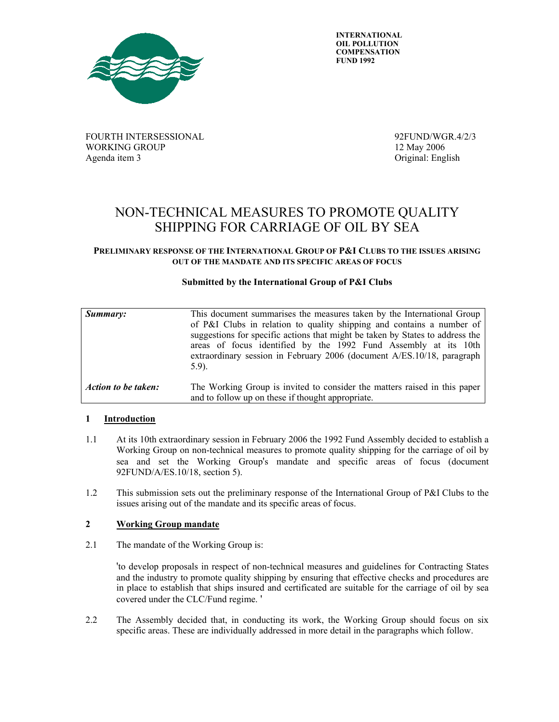

 **INTERNATIONAL OIL POLLUTION COMPENSATION FUND 1992** 

FOURTH INTERSESSIONAL 92FUND/WGR.4/2/3 WORKING GROUP 12 May 2006 Agenda item 3 Original: English

# NON-TECHNICAL MEASURES TO PROMOTE QUALITY SHIPPING FOR CARRIAGE OF OIL BY SEA

## **PRELIMINARY RESPONSE OF THE INTERNATIONAL GROUP OF P&I CLUBS TO THE ISSUES ARISING OUT OF THE MANDATE AND ITS SPECIFIC AREAS OF FOCUS**

## **Submitted by the International Group of P&I Clubs**

| Summary:            | This document summarises the measures taken by the International Group<br>of P&I Clubs in relation to quality shipping and contains a number of<br>suggestions for specific actions that might be taken by States to address the<br>areas of focus identified by the 1992 Fund Assembly at its 10th<br>extraordinary session in February 2006 (document A/ES.10/18, paragraph<br>$(5.9)$ . |
|---------------------|--------------------------------------------------------------------------------------------------------------------------------------------------------------------------------------------------------------------------------------------------------------------------------------------------------------------------------------------------------------------------------------------|
| Action to be taken: | The Working Group is invited to consider the matters raised in this paper<br>and to follow up on these if thought appropriate.                                                                                                                                                                                                                                                             |

#### **1 Introduction**

- 1.1 At its 10th extraordinary session in February 2006 the 1992 Fund Assembly decided to establish a Working Group on non-technical measures to promote quality shipping for the carriage of oil by sea and set the Working Group's mandate and specific areas of focus (document 92FUND/A/ES.10/18, section 5).
- 1.2 This submission sets out the preliminary response of the International Group of P&I Clubs to the issues arising out of the mandate and its specific areas of focus.

## **2 Working Group mandate**

2.1 The mandate of the Working Group is:

'to develop proposals in respect of non-technical measures and guidelines for Contracting States and the industry to promote quality shipping by ensuring that effective checks and procedures are in place to establish that ships insured and certificated are suitable for the carriage of oil by sea covered under the CLC/Fund regime. '

2.2 The Assembly decided that, in conducting its work, the Working Group should focus on six specific areas. These are individually addressed in more detail in the paragraphs which follow.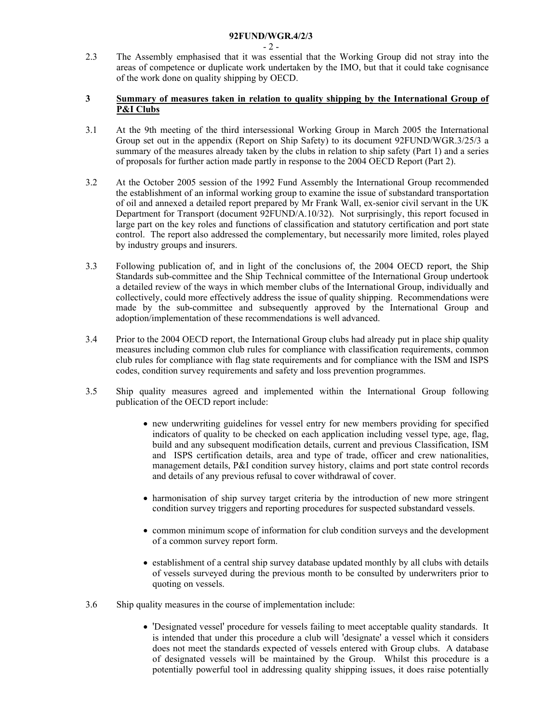- $-2-$
- 2.3 The Assembly emphasised that it was essential that the Working Group did not stray into the areas of competence or duplicate work undertaken by the IMO, but that it could take cognisance of the work done on quality shipping by OECD.

#### **3 Summary of measures taken in relation to quality shipping by the International Group of P&I Clubs**

- 3.1 At the 9th meeting of the third intersessional Working Group in March 2005 the International Group set out in the appendix (Report on Ship Safety) to its document 92FUND/WGR.3/25/3 a summary of the measures already taken by the clubs in relation to ship safety (Part 1) and a series of proposals for further action made partly in response to the 2004 OECD Report (Part 2).
- 3.2 At the October 2005 session of the 1992 Fund Assembly the International Group recommended the establishment of an informal working group to examine the issue of substandard transportation of oil and annexed a detailed report prepared by Mr Frank Wall, ex-senior civil servant in the UK Department for Transport (document 92FUND/A.10/32). Not surprisingly, this report focused in large part on the key roles and functions of classification and statutory certification and port state control. The report also addressed the complementary, but necessarily more limited, roles played by industry groups and insurers.
- 3.3 Following publication of, and in light of the conclusions of, the 2004 OECD report, the Ship Standards sub-committee and the Ship Technical committee of the International Group undertook a detailed review of the ways in which member clubs of the International Group, individually and collectively, could more effectively address the issue of quality shipping. Recommendations were made by the sub-committee and subsequently approved by the International Group and adoption/implementation of these recommendations is well advanced.
- 3.4 Prior to the 2004 OECD report, the International Group clubs had already put in place ship quality measures including common club rules for compliance with classification requirements, common club rules for compliance with flag state requirements and for compliance with the ISM and ISPS codes, condition survey requirements and safety and loss prevention programmes.
- 3.5 Ship quality measures agreed and implemented within the International Group following publication of the OECD report include:
	- new underwriting guidelines for vessel entry for new members providing for specified indicators of quality to be checked on each application including vessel type, age, flag, build and any subsequent modification details, current and previous Classification, ISM and ISPS certification details, area and type of trade, officer and crew nationalities, management details, P&I condition survey history, claims and port state control records and details of any previous refusal to cover withdrawal of cover.
	- harmonisation of ship survey target criteria by the introduction of new more stringent condition survey triggers and reporting procedures for suspected substandard vessels.
	- common minimum scope of information for club condition surveys and the development of a common survey report form.
	- establishment of a central ship survey database updated monthly by all clubs with details of vessels surveyed during the previous month to be consulted by underwriters prior to quoting on vessels.
- 3.6 Ship quality measures in the course of implementation include:
	- 'Designated vessel' procedure for vessels failing to meet acceptable quality standards. It is intended that under this procedure a club will 'designate' a vessel which it considers does not meet the standards expected of vessels entered with Group clubs. A database of designated vessels will be maintained by the Group. Whilst this procedure is a potentially powerful tool in addressing quality shipping issues, it does raise potentially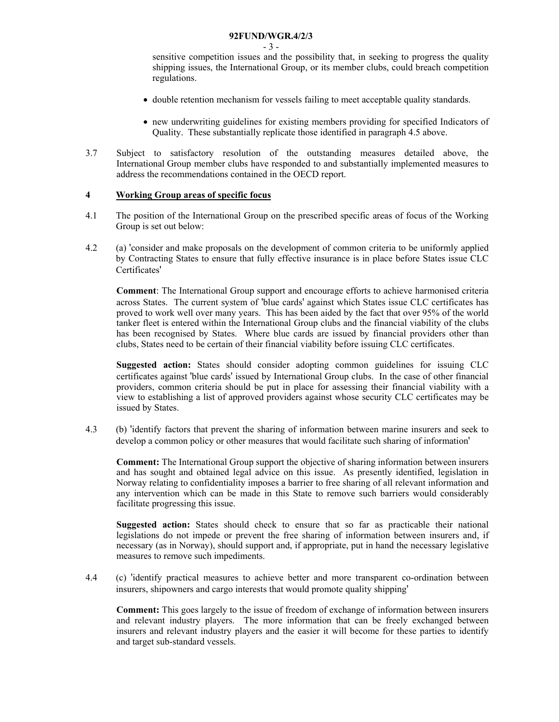$-3-$ 

sensitive competition issues and the possibility that, in seeking to progress the quality shipping issues, the International Group, or its member clubs, could breach competition regulations.

- double retention mechanism for vessels failing to meet acceptable quality standards.
- new underwriting guidelines for existing members providing for specified Indicators of Quality. These substantially replicate those identified in paragraph 4.5 above.
- 3.7 Subject to satisfactory resolution of the outstanding measures detailed above, the International Group member clubs have responded to and substantially implemented measures to address the recommendations contained in the OECD report.

## **4 Working Group areas of specific focus**

- 4.1 The position of the International Group on the prescribed specific areas of focus of the Working Group is set out below:
- 4.2 (a) 'consider and make proposals on the development of common criteria to be uniformly applied by Contracting States to ensure that fully effective insurance is in place before States issue CLC Certificates'

**Comment**: The International Group support and encourage efforts to achieve harmonised criteria across States. The current system of 'blue cards' against which States issue CLC certificates has proved to work well over many years. This has been aided by the fact that over 95% of the world tanker fleet is entered within the International Group clubs and the financial viability of the clubs has been recognised by States. Where blue cards are issued by financial providers other than clubs, States need to be certain of their financial viability before issuing CLC certificates.

**Suggested action:** States should consider adopting common guidelines for issuing CLC certificates against 'blue cards' issued by International Group clubs. In the case of other financial providers, common criteria should be put in place for assessing their financial viability with a view to establishing a list of approved providers against whose security CLC certificates may be issued by States.

4.3 (b) 'identify factors that prevent the sharing of information between marine insurers and seek to develop a common policy or other measures that would facilitate such sharing of information'

**Comment:** The International Group support the objective of sharing information between insurers and has sought and obtained legal advice on this issue. As presently identified, legislation in Norway relating to confidentiality imposes a barrier to free sharing of all relevant information and any intervention which can be made in this State to remove such barriers would considerably facilitate progressing this issue.

**Suggested action:** States should check to ensure that so far as practicable their national legislations do not impede or prevent the free sharing of information between insurers and, if necessary (as in Norway), should support and, if appropriate, put in hand the necessary legislative measures to remove such impediments.

4.4 (c) 'identify practical measures to achieve better and more transparent co-ordination between insurers, shipowners and cargo interests that would promote quality shipping'

**Comment:** This goes largely to the issue of freedom of exchange of information between insurers and relevant industry players. The more information that can be freely exchanged between insurers and relevant industry players and the easier it will become for these parties to identify and target sub-standard vessels.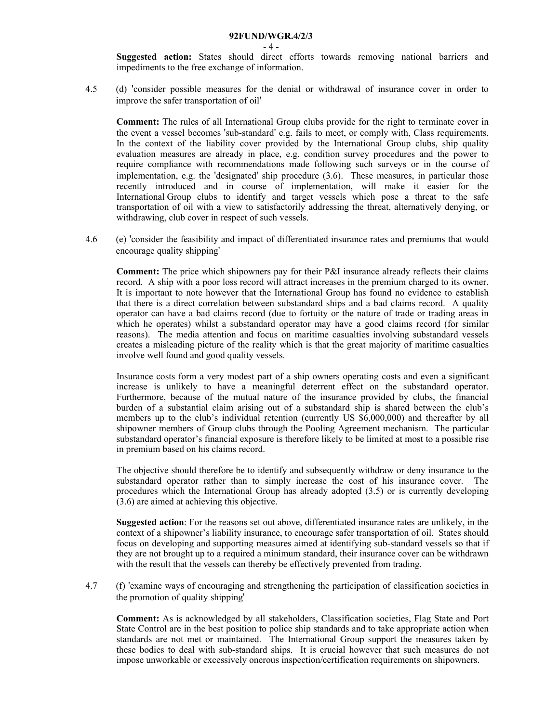$-4-$ 

**Suggested action:** States should direct efforts towards removing national barriers and impediments to the free exchange of information.

4.5 (d) 'consider possible measures for the denial or withdrawal of insurance cover in order to improve the safer transportation of oil'

**Comment:** The rules of all International Group clubs provide for the right to terminate cover in the event a vessel becomes 'sub-standard' e.g. fails to meet, or comply with, Class requirements. In the context of the liability cover provided by the International Group clubs, ship quality evaluation measures are already in place, e.g. condition survey procedures and the power to require compliance with recommendations made following such surveys or in the course of implementation, e.g. the 'designated' ship procedure (3.6). These measures, in particular those recently introduced and in course of implementation, will make it easier for the International Group clubs to identify and target vessels which pose a threat to the safe transportation of oil with a view to satisfactorily addressing the threat, alternatively denying, or withdrawing, club cover in respect of such vessels.

4.6 (e) 'consider the feasibility and impact of differentiated insurance rates and premiums that would encourage quality shipping'

**Comment:** The price which shipowners pay for their P&I insurance already reflects their claims record. A ship with a poor loss record will attract increases in the premium charged to its owner. It is important to note however that the International Group has found no evidence to establish that there is a direct correlation between substandard ships and a bad claims record. A quality operator can have a bad claims record (due to fortuity or the nature of trade or trading areas in which he operates) whilst a substandard operator may have a good claims record (for similar reasons). The media attention and focus on maritime casualties involving substandard vessels creates a misleading picture of the reality which is that the great majority of maritime casualties involve well found and good quality vessels.

Insurance costs form a very modest part of a ship owners operating costs and even a significant increase is unlikely to have a meaningful deterrent effect on the substandard operator. Furthermore, because of the mutual nature of the insurance provided by clubs, the financial burden of a substantial claim arising out of a substandard ship is shared between the club's members up to the club's individual retention (currently US \$6,000,000) and thereafter by all shipowner members of Group clubs through the Pooling Agreement mechanism. The particular substandard operator's financial exposure is therefore likely to be limited at most to a possible rise in premium based on his claims record.

The objective should therefore be to identify and subsequently withdraw or deny insurance to the substandard operator rather than to simply increase the cost of his insurance cover. The procedures which the International Group has already adopted (3.5) or is currently developing (3.6) are aimed at achieving this objective.

**Suggested action**: For the reasons set out above, differentiated insurance rates are unlikely, in the context of a shipowner's liability insurance, to encourage safer transportation of oil. States should focus on developing and supporting measures aimed at identifying sub-standard vessels so that if they are not brought up to a required a minimum standard, their insurance cover can be withdrawn with the result that the vessels can thereby be effectively prevented from trading.

4.7 (f) 'examine ways of encouraging and strengthening the participation of classification societies in the promotion of quality shipping'

**Comment:** As is acknowledged by all stakeholders, Classification societies, Flag State and Port State Control are in the best position to police ship standards and to take appropriate action when standards are not met or maintained. The International Group support the measures taken by these bodies to deal with sub-standard ships. It is crucial however that such measures do not impose unworkable or excessively onerous inspection/certification requirements on shipowners.